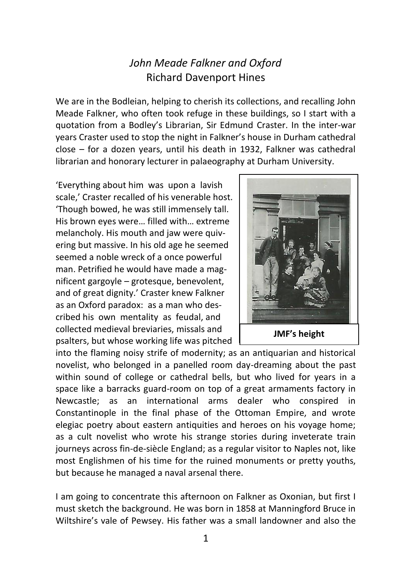## *John Meade Falkner and Oxford* Richard Davenport Hines

We are in the Bodleian, helping to cherish its collections, and recalling John Meade Falkner, who often took refuge in these buildings, so I start with a quotation from a Bodley's Librarian, Sir Edmund Craster. In the inter-war years Craster used to stop the night in Falkner's house in Durham cathedral close – for a dozen years, until his death in 1932, Falkner was cathedral librarian and honorary lecturer in palaeography at Durham University.

'Everything about him was upon a lavish scale,' Craster recalled of his venerable host. 'Though bowed, he was still immensely tall. His brown eyes were… filled with… extreme melancholy. His mouth and jaw were quivering but massive. In his old age he seemed seemed a noble wreck of a once powerful man. Petrified he would have made a magnificent gargoyle – grotesque, benevolent, and of great dignity.' Craster knew Falkner as an Oxford paradox: as a man who described his own mentality as feudal, and collected medieval breviaries, missals and psalters, but whose working life was pitched



**JMF's height**

into the flaming noisy strife of modernity; as an antiquarian and historical novelist, who belonged in a panelled room day-dreaming about the past within sound of college or cathedral bells, but who lived for years in a space like a barracks guard-room on top of a great armaments factory in Newcastle; as an international arms dealer who conspired in Constantinople in the final phase of the Ottoman Empire, and wrote elegiac poetry about eastern antiquities and heroes on his voyage home; as a cult novelist who wrote his strange stories during inveterate train journeys across fin-de-siècle England; as a regular visitor to Naples not, like most Englishmen of his time for the ruined monuments or pretty youths, but because he managed a naval arsenal there.

I am going to concentrate this afternoon on Falkner as Oxonian, but first I must sketch the background. He was born in 1858 at Manningford Bruce in Wiltshire's vale of Pewsey. His father was a small landowner and also the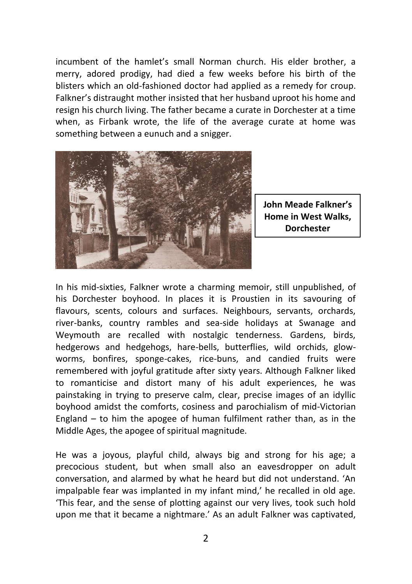incumbent of the hamlet's small Norman church. His elder brother, a merry, adored prodigy, had died a few weeks before his birth of the blisters which an old-fashioned doctor had applied as a remedy for croup. Falkner's distraught mother insisted that her husband uproot his home and resign his church living. The father became a curate in Dorchester at a time when, as Firbank wrote, the life of the average curate at home was something between a eunuch and a snigger.



**John Meade Falkner's Home in West Walks, Dorchester**

In his mid-sixties, Falkner wrote a charming memoir, still unpublished, of his Dorchester boyhood. In places it is Proustien in its savouring of flavours, scents, colours and surfaces. Neighbours, servants, orchards, river-banks, country rambles and sea-side holidays at Swanage and Weymouth are recalled with nostalgic tenderness. Gardens, birds, hedgerows and hedgehogs, hare-bells, butterflies, wild orchids, glowworms, bonfires, sponge-cakes, rice-buns, and candied fruits were remembered with joyful gratitude after sixty years. Although Falkner liked to romanticise and distort many of his adult experiences, he was painstaking in trying to preserve calm, clear, precise images of an idyllic boyhood amidst the comforts, cosiness and parochialism of mid-Victorian England – to him the apogee of human fulfilment rather than, as in the Middle Ages, the apogee of spiritual magnitude.

He was a joyous, playful child, always big and strong for his age; a precocious student, but when small also an eavesdropper on adult conversation, and alarmed by what he heard but did not understand. 'An impalpable fear was implanted in my infant mind,' he recalled in old age. 'This fear, and the sense of plotting against our very lives, took such hold upon me that it became a nightmare.' As an adult Falkner was captivated,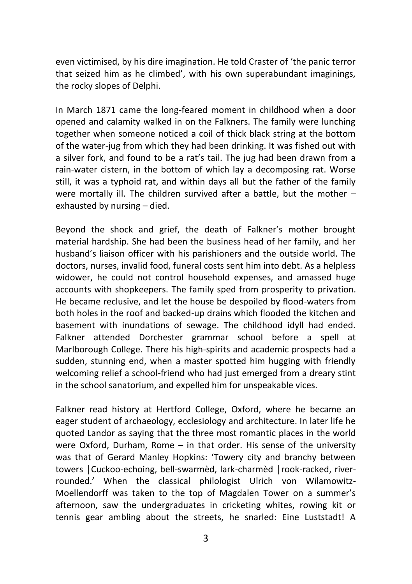even victimised, by his dire imagination. He told Craster of 'the panic terror that seized him as he climbed', with his own superabundant imaginings, the rocky slopes of Delphi.

In March 1871 came the long-feared moment in childhood when a door opened and calamity walked in on the Falkners. The family were lunching together when someone noticed a coil of thick black string at the bottom of the water-jug from which they had been drinking. It was fished out with a silver fork, and found to be a rat's tail. The jug had been drawn from a rain-water cistern, in the bottom of which lay a decomposing rat. Worse still, it was a typhoid rat, and within days all but the father of the family were mortally ill. The children survived after a battle, but the mother – exhausted by nursing – died.

Beyond the shock and grief, the death of Falkner's mother brought material hardship. She had been the business head of her family, and her husband's liaison officer with his parishioners and the outside world. The doctors, nurses, invalid food, funeral costs sent him into debt. As a helpless widower, he could not control household expenses, and amassed huge accounts with shopkeepers. The family sped from prosperity to privation. He became reclusive, and let the house be despoiled by flood-waters from both holes in the roof and backed-up drains which flooded the kitchen and basement with inundations of sewage. The childhood idyll had ended. Falkner attended Dorchester grammar school before a spell at Marlborough College. There his high-spirits and academic prospects had a sudden, stunning end, when a master spotted him hugging with friendly welcoming relief a school-friend who had just emerged from a dreary stint in the school sanatorium, and expelled him for unspeakable vices.

Falkner read history at Hertford College, Oxford, where he became an eager student of archaeology, ecclesiology and architecture. In later life he quoted Landor as saying that the three most romantic places in the world were Oxford, Durham, Rome – in that order. His sense of the university was that of Gerard Manley Hopkins: 'Towery city and branchy between towers │Cuckoo-echoing, bell-swarmèd, lark-charmèd │rook-racked, riverrounded.' When the classical philologist Ulrich von Wilamowitz-Moellendorff was taken to the top of Magdalen Tower on a summer's afternoon, saw the undergraduates in cricketing whites, rowing kit or tennis gear ambling about the streets, he snarled: Eine Luststadt! A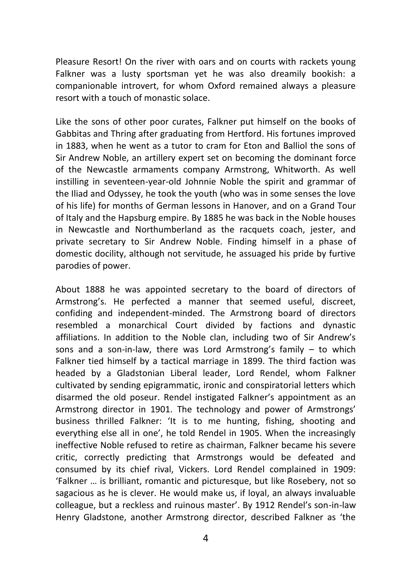Pleasure Resort! On the river with oars and on courts with rackets young Falkner was a lusty sportsman yet he was also dreamily bookish: a companionable introvert, for whom Oxford remained always a pleasure resort with a touch of monastic solace.

Like the sons of other poor curates, Falkner put himself on the books of Gabbitas and Thring after graduating from Hertford. His fortunes improved in 1883, when he went as a tutor to cram for Eton and Balliol the sons of Sir Andrew Noble, an artillery expert set on becoming the dominant force of the Newcastle armaments company Armstrong, Whitworth. As well instilling in seventeen-year-old Johnnie Noble the spirit and grammar of the Iliad and Odyssey, he took the youth (who was in some senses the love of his life) for months of German lessons in Hanover, and on a Grand Tour of Italy and the Hapsburg empire. By 1885 he was back in the Noble houses in Newcastle and Northumberland as the racquets coach, jester, and private secretary to Sir Andrew Noble. Finding himself in a phase of domestic docility, although not servitude, he assuaged his pride by furtive parodies of power.

About 1888 he was appointed secretary to the board of directors of Armstrong's. He perfected a manner that seemed useful, discreet, confiding and independent-minded. The Armstrong board of directors resembled a monarchical Court divided by factions and dynastic affiliations. In addition to the Noble clan, including two of Sir Andrew's sons and a son-in-law, there was Lord Armstrong's family – to which Falkner tied himself by a tactical marriage in 1899. The third faction was headed by a Gladstonian Liberal leader, Lord Rendel, whom Falkner cultivated by sending epigrammatic, ironic and conspiratorial letters which disarmed the old poseur. Rendel instigated Falkner's appointment as an Armstrong director in 1901. The technology and power of Armstrongs' business thrilled Falkner: 'It is to me hunting, fishing, shooting and everything else all in one', he told Rendel in 1905. When the increasingly ineffective Noble refused to retire as chairman, Falkner became his severe critic, correctly predicting that Armstrongs would be defeated and consumed by its chief rival, Vickers. Lord Rendel complained in 1909: 'Falkner … is brilliant, romantic and picturesque, but like Rosebery, not so sagacious as he is clever. He would make us, if loyal, an always invaluable colleague, but a reckless and ruinous master'. By 1912 Rendel's son-in-law Henry Gladstone, another Armstrong director, described Falkner as 'the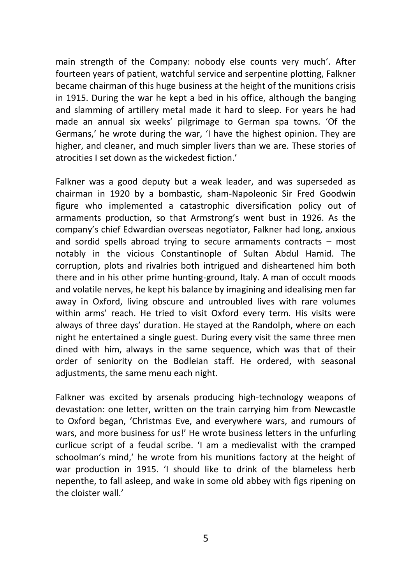main strength of the Company: nobody else counts very much'. After fourteen years of patient, watchful service and serpentine plotting, Falkner became chairman of this huge business at the height of the munitions crisis in 1915. During the war he kept a bed in his office, although the banging and slamming of artillery metal made it hard to sleep. For years he had made an annual six weeks' pilgrimage to German spa towns. 'Of the Germans,' he wrote during the war, 'I have the highest opinion. They are higher, and cleaner, and much simpler livers than we are. These stories of atrocities I set down as the wickedest fiction.'

Falkner was a good deputy but a weak leader, and was superseded as chairman in 1920 by a bombastic, sham-Napoleonic Sir Fred Goodwin figure who implemented a catastrophic diversification policy out of armaments production, so that Armstrong's went bust in 1926. As the company's chief Edwardian overseas negotiator, Falkner had long, anxious and sordid spells abroad trying to secure armaments contracts – most notably in the vicious Constantinople of Sultan Abdul Hamid. The corruption, plots and rivalries both intrigued and disheartened him both there and in his other prime hunting-ground, Italy. A man of occult moods and volatile nerves, he kept his balance by imagining and idealising men far away in Oxford, living obscure and untroubled lives with rare volumes within arms' reach. He tried to visit Oxford every term. His visits were always of three days' duration. He stayed at the Randolph, where on each night he entertained a single guest. During every visit the same three men dined with him, always in the same sequence, which was that of their order of seniority on the Bodleian staff. He ordered, with seasonal adjustments, the same menu each night.

Falkner was excited by arsenals producing high-technology weapons of devastation: one letter, written on the train carrying him from Newcastle to Oxford began, 'Christmas Eve, and everywhere wars, and rumours of wars, and more business for us!' He wrote business letters in the unfurling curlicue script of a feudal scribe. 'I am a medievalist with the cramped schoolman's mind,' he wrote from his munitions factory at the height of war production in 1915. 'I should like to drink of the blameless herb nepenthe, to fall asleep, and wake in some old abbey with figs ripening on the cloister wall.'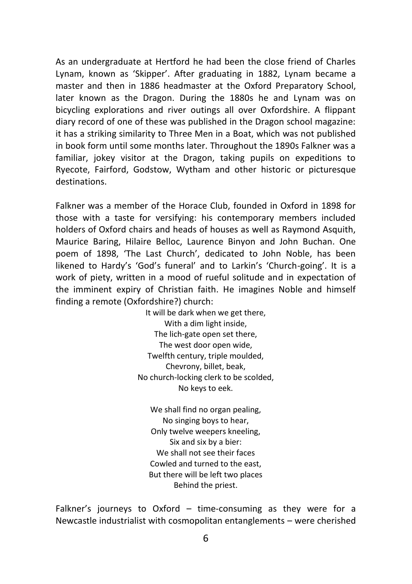As an undergraduate at Hertford he had been the close friend of Charles Lynam, known as 'Skipper'. After graduating in 1882, Lynam became a master and then in 1886 headmaster at the Oxford Preparatory School, later known as the Dragon. During the 1880s he and Lynam was on bicycling explorations and river outings all over Oxfordshire. A flippant diary record of one of these was published in the Dragon school magazine: it has a striking similarity to Three Men in a Boat, which was not published in book form until some months later. Throughout the 1890s Falkner was a familiar, jokey visitor at the Dragon, taking pupils on expeditions to Ryecote, Fairford, Godstow, Wytham and other historic or picturesque destinations.

Falkner was a member of the Horace Club, founded in Oxford in 1898 for those with a taste for versifying: his contemporary members included holders of Oxford chairs and heads of houses as well as Raymond Asquith, Maurice Baring, Hilaire Belloc, Laurence Binyon and John Buchan. One poem of 1898, 'The Last Church', dedicated to John Noble, has been likened to Hardy's 'God's funeral' and to Larkin's 'Church-going'. It is a work of piety, written in a mood of rueful solitude and in expectation of the imminent expiry of Christian faith. He imagines Noble and himself finding a remote (Oxfordshire?) church:

> It will be dark when we get there, With a dim light inside, The lich-gate open set there, The west door open wide, Twelfth century, triple moulded, Chevrony, billet, beak, No church-locking clerk to be scolded, No keys to eek.

We shall find no organ pealing, No singing boys to hear, Only twelve weepers kneeling, Six and six by a bier: We shall not see their faces Cowled and turned to the east, But there will be left two places Behind the priest.

Falkner's journeys to Oxford – time-consuming as they were for a Newcastle industrialist with cosmopolitan entanglements – were cherished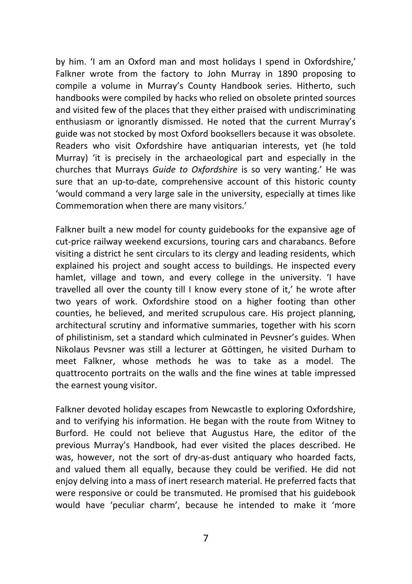by him. 'I am an Oxford man and most holidays I spend in Oxfordshire,' Falkner wrote from the factory to John Murray in 1890 proposing to compile a volume in Murray's County Handbook series. Hitherto, such handbooks were compiled by hacks who relied on obsolete printed sources and visited few of the places that they either praised with undiscriminating enthusiasm or ignorantly dismissed. He noted that the current Murray's guide was not stocked by most Oxford booksellers because it was obsolete. Readers who visit Oxfordshire have antiquarian interests, yet (he told Murray) 'it is precisely in the archaeological part and especially in the churches that Murrays *Guide to Oxfordshire* is so very wanting.' He was sure that an up-to-date, comprehensive account of this historic county 'would command a very large sale in the university, especially at times like Commemoration when there are many visitors.'

Falkner built a new model for county guidebooks for the expansive age of cut-price railway weekend excursions, touring cars and charabancs. Before visiting a district he sent circulars to its clergy and leading residents, which explained his project and sought access to buildings. He inspected every hamlet, village and town, and every college in the university. 'I have travelled all over the county till I know every stone of it,' he wrote after two years of work. Oxfordshire stood on a higher footing than other counties, he believed, and merited scrupulous care. His project planning, architectural scrutiny and informative summaries, together with his scorn of philistinism, set a standard which culminated in Pevsner's guides. When Nikolaus Pevsner was still a lecturer at Göttingen, he visited Durham to meet Falkner, whose methods he was to take as a model. The quattrocento portraits on the walls and the fine wines at table impressed the earnest young visitor.

Falkner devoted holiday escapes from Newcastle to exploring Oxfordshire, and to verifying his information. He began with the route from Witney to Burford. He could not believe that Augustus Hare, the editor of the previous Murray's Handbook, had ever visited the places described. He was, however, not the sort of dry-as-dust antiquary who hoarded facts, and valued them all equally, because they could be verified. He did not enjoy delving into a mass of inert research material. He preferred facts that were responsive or could be transmuted. He promised that his guidebook would have 'peculiar charm', because he intended to make it 'more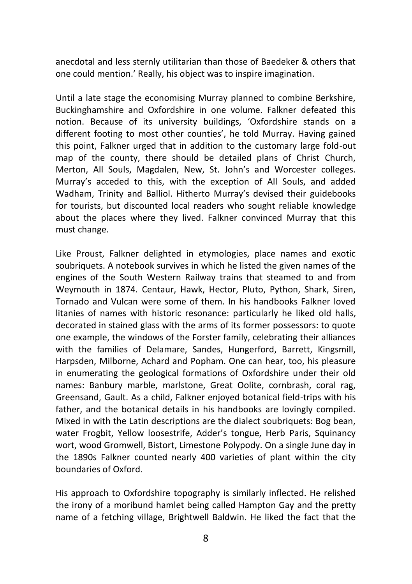anecdotal and less sternly utilitarian than those of Baedeker & others that one could mention.' Really, his object was to inspire imagination.

Until a late stage the economising Murray planned to combine Berkshire, Buckinghamshire and Oxfordshire in one volume. Falkner defeated this notion. Because of its university buildings, 'Oxfordshire stands on a different footing to most other counties', he told Murray. Having gained this point, Falkner urged that in addition to the customary large fold-out map of the county, there should be detailed plans of Christ Church, Merton, All Souls, Magdalen, New, St. John's and Worcester colleges. Murray's acceded to this, with the exception of All Souls, and added Wadham, Trinity and Balliol. Hitherto Murray's devised their guidebooks for tourists, but discounted local readers who sought reliable knowledge about the places where they lived. Falkner convinced Murray that this must change.

Like Proust, Falkner delighted in etymologies, place names and exotic soubriquets. A notebook survives in which he listed the given names of the engines of the South Western Railway trains that steamed to and from Weymouth in 1874. Centaur, Hawk, Hector, Pluto, Python, Shark, Siren, Tornado and Vulcan were some of them. In his handbooks Falkner loved litanies of names with historic resonance: particularly he liked old halls, decorated in stained glass with the arms of its former possessors: to quote one example, the windows of the Forster family, celebrating their alliances with the families of Delamare, Sandes, Hungerford, Barrett, Kingsmill, Harpsden, Milborne, Achard and Popham. One can hear, too, his pleasure in enumerating the geological formations of Oxfordshire under their old names: Banbury marble, marlstone, Great Oolite, cornbrash, coral rag, Greensand, Gault. As a child, Falkner enjoyed botanical field-trips with his father, and the botanical details in his handbooks are lovingly compiled. Mixed in with the Latin descriptions are the dialect soubriquets: Bog bean, water Frogbit, Yellow loosestrife, Adder's tongue, Herb Paris, Squinancy wort, wood Gromwell, Bistort, Limestone Polypody. On a single June day in the 1890s Falkner counted nearly 400 varieties of plant within the city boundaries of Oxford.

His approach to Oxfordshire topography is similarly inflected. He relished the irony of a moribund hamlet being called Hampton Gay and the pretty name of a fetching village, Brightwell Baldwin. He liked the fact that the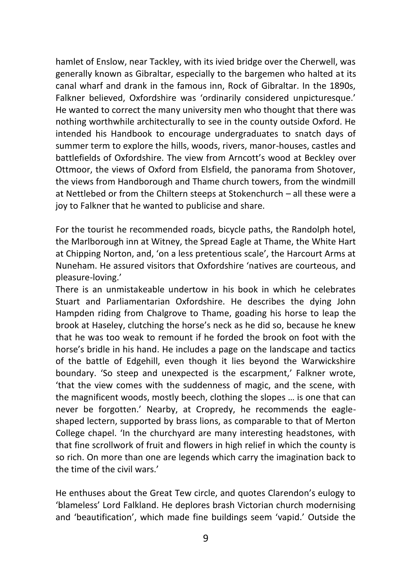hamlet of Enslow, near Tackley, with its ivied bridge over the Cherwell, was generally known as Gibraltar, especially to the bargemen who halted at its canal wharf and drank in the famous inn, Rock of Gibraltar. In the 1890s, Falkner believed, Oxfordshire was 'ordinarily considered unpicturesque.' He wanted to correct the many university men who thought that there was nothing worthwhile architecturally to see in the county outside Oxford. He intended his Handbook to encourage undergraduates to snatch days of summer term to explore the hills, woods, rivers, manor-houses, castles and battlefields of Oxfordshire. The view from Arncott's wood at Beckley over Ottmoor, the views of Oxford from Elsfield, the panorama from Shotover, the views from Handborough and Thame church towers, from the windmill at Nettlebed or from the Chiltern steeps at Stokenchurch – all these were a joy to Falkner that he wanted to publicise and share.

For the tourist he recommended roads, bicycle paths, the Randolph hotel, the Marlborough inn at Witney, the Spread Eagle at Thame, the White Hart at Chipping Norton, and, 'on a less pretentious scale', the Harcourt Arms at Nuneham. He assured visitors that Oxfordshire 'natives are courteous, and pleasure-loving.'

There is an unmistakeable undertow in his book in which he celebrates Stuart and Parliamentarian Oxfordshire. He describes the dying John Hampden riding from Chalgrove to Thame, goading his horse to leap the brook at Haseley, clutching the horse's neck as he did so, because he knew that he was too weak to remount if he forded the brook on foot with the horse's bridle in his hand. He includes a page on the landscape and tactics of the battle of Edgehill, even though it lies beyond the Warwickshire boundary. 'So steep and unexpected is the escarpment,' Falkner wrote, 'that the view comes with the suddenness of magic, and the scene, with the magnificent woods, mostly beech, clothing the slopes … is one that can never be forgotten.' Nearby, at Cropredy, he recommends the eagleshaped lectern, supported by brass lions, as comparable to that of Merton College chapel. 'In the churchyard are many interesting headstones, with that fine scrollwork of fruit and flowers in high relief in which the county is so rich. On more than one are legends which carry the imagination back to the time of the civil wars.'

He enthuses about the Great Tew circle, and quotes Clarendon's eulogy to 'blameless' Lord Falkland. He deplores brash Victorian church modernising and 'beautification', which made fine buildings seem 'vapid.' Outside the